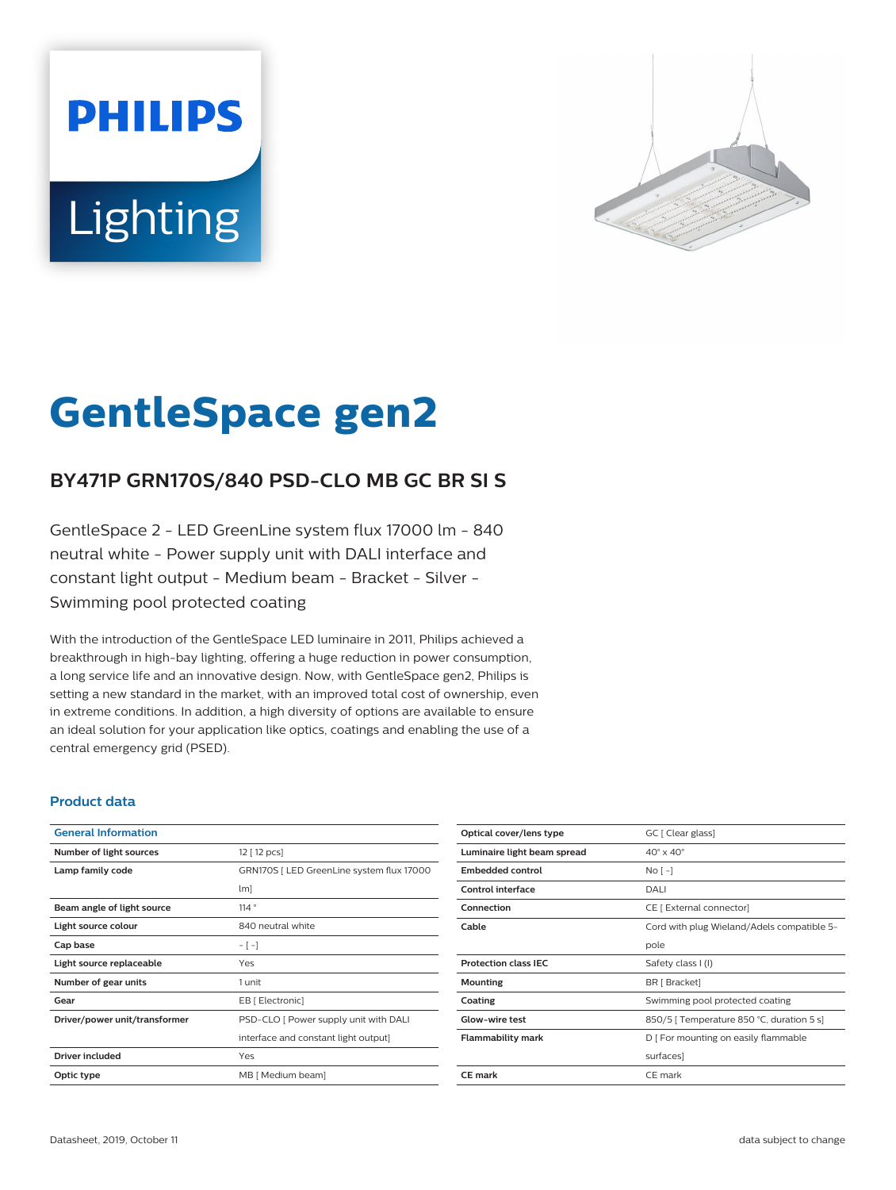# **PHILIPS Lighting**



# **GentleSpace gen2**

# **BY471P GRN170S/840 PSD-CLO MB GC BR SI S**

GentleSpace 2 - LED GreenLine system flux 17000 lm - 840 neutral white - Power supply unit with DALI interface and constant light output - Medium beam - Bracket - Silver - Swimming pool protected coating

With the introduction of the GentleSpace LED luminaire in 2011, Philips achieved a breakthrough in high-bay lighting, offering a huge reduction in power consumption, a long service life and an innovative design. Now, with GentleSpace gen2, Philips is setting a new standard in the market, with an improved total cost of ownership, even in extreme conditions. In addition, a high diversity of options are available to ensure an ideal solution for your application like optics, coatings and enabling the use of a central emergency grid (PSED).

### **Product data**

| <b>General Information</b>    |                                           |
|-------------------------------|-------------------------------------------|
| Number of light sources       | 12 [ 12 pcs]                              |
| Lamp family code              | GRN170S   LED GreenLine system flux 17000 |
|                               | $\lfloor m \rfloor$                       |
| Beam angle of light source    | 114°                                      |
| Light source colour           | 840 neutral white                         |
| Cap base                      | $-[-]$                                    |
| Light source replaceable      | Yes                                       |
| Number of gear units          | 1 unit                                    |
| Gear                          | EB [ Electronic]                          |
| Driver/power unit/transformer | PSD-CLO [ Power supply unit with DALI     |
|                               | interface and constant light output]      |
| Driver included               | Yes                                       |
| Optic type                    | MB [ Medium beam]                         |
|                               |                                           |

| Optical cover/lens type     | GC [ Clear glass]                          |
|-----------------------------|--------------------------------------------|
| Luminaire light beam spread | $40^\circ \times 40^\circ$                 |
| <b>Embedded control</b>     | $NQ$ [ -]                                  |
| Control interface           | DALI                                       |
| Connection                  | CE [ External connector]                   |
| Cable                       | Cord with plug Wieland/Adels compatible 5- |
|                             | pole                                       |
| <b>Protection class IEC</b> | Safety class I (I)                         |
| Mounting                    | BR [ Bracket]                              |
| Coating                     | Swimming pool protected coating            |
| Glow-wire test              | 850/5   Temperature 850 °C, duration 5 s]  |
| <b>Flammability mark</b>    | D   For mounting on easily flammable       |
|                             | surfaces]                                  |
| <b>CE</b> mark              | CE mark                                    |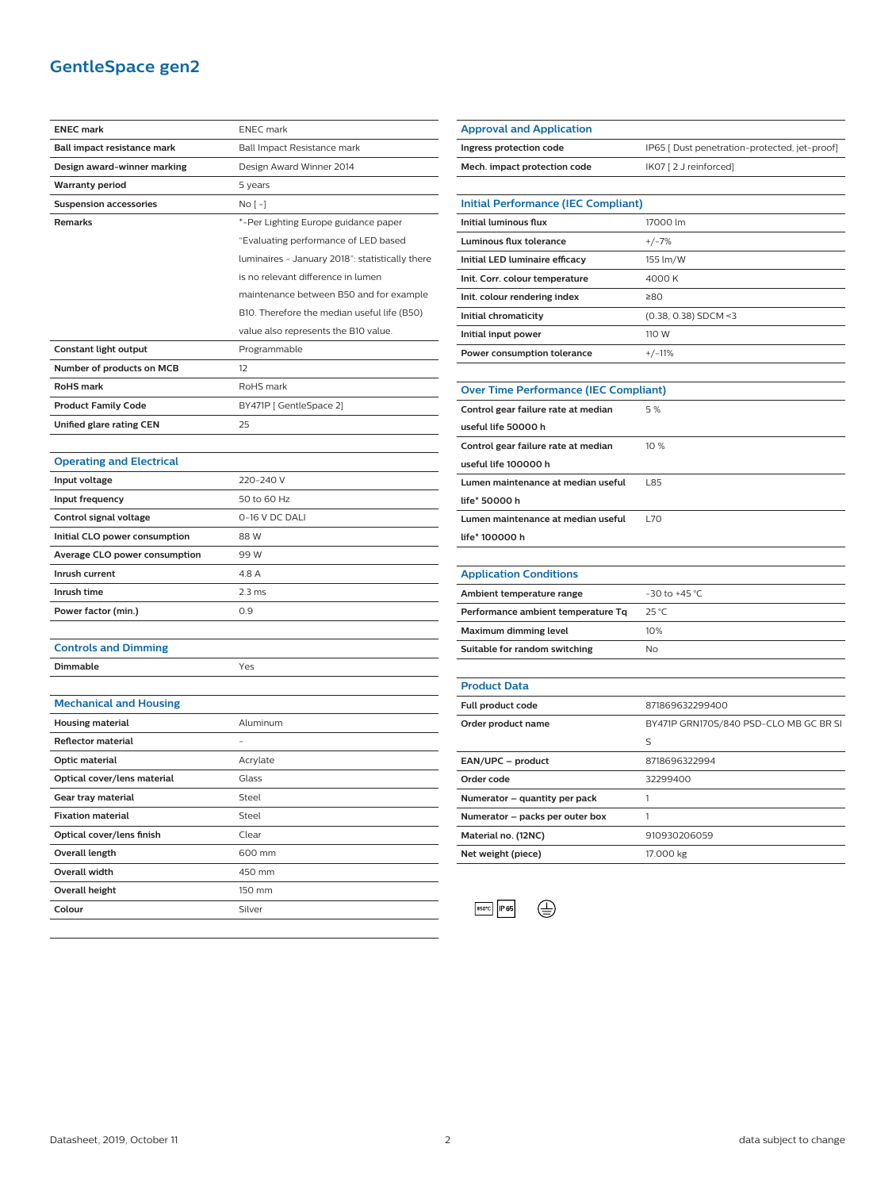# **GentleSpace gen2**

| <b>ENEC mark</b>                | <b>ENEC</b> mark                                |
|---------------------------------|-------------------------------------------------|
| Ball impact resistance mark     | Ball Impact Resistance mark                     |
| Design award-winner marking     | Design Award Winner 2014                        |
| Warranty period                 | 5 years                                         |
| <b>Suspension accessories</b>   | No [ -]                                         |
| Remarks                         | *-Per Lighting Europe guidance paper            |
|                                 | "Evaluating performance of LED based            |
|                                 | luminaires - January 2018": statistically there |
|                                 | is no relevant difference in lumen              |
|                                 | maintenance between B50 and for example         |
|                                 | B10. Therefore the median useful life (B50)     |
|                                 | value also represents the B10 value.            |
| Constant light output           | Programmable                                    |
| Number of products on MCB       | 12                                              |
| <b>RoHS</b> mark                | RoHS mark                                       |
| <b>Product Family Code</b>      | BY471P [ GentleSpace 2]                         |
| <b>Unified glare rating CEN</b> | 25                                              |
|                                 |                                                 |
| <b>Operating and Electrical</b> |                                                 |
| Input voltage                   | 220-240 V                                       |
| Input frequency                 | 50 to 60 Hz                                     |
| Control signal voltage          | 0-16 V DC DALI                                  |
| Initial CLO power consumption   | 88 W                                            |
| Average CLO power consumption   | 99 W                                            |
| Inrush current                  | 4.8 A                                           |
| Inrush time                     | 2.3 <sub>ms</sub>                               |
| Power factor (min.)             | 0.9                                             |
|                                 |                                                 |
| <b>Controls and Dimming</b>     |                                                 |
| Dimmable                        | Yes                                             |
|                                 |                                                 |
| <b>Mechanical and Housing</b>   |                                                 |
| <b>Housing material</b>         | Aluminum                                        |
| <b>Reflector material</b>       |                                                 |
| Optic material                  | Acrylate                                        |
| Optical cover/lens material     | Glass                                           |
| Gear tray material              | Steel                                           |
| <b>Fixation material</b>        | Steel                                           |
| Optical cover/lens finish       | Clear                                           |
| Overall length                  | 600 mm                                          |
| Overall width                   | 450 mm                                          |
| Overall height                  | 150 mm                                          |
| Colour                          | Silver                                          |

| <b>Approval and Application</b>              |                                               |
|----------------------------------------------|-----------------------------------------------|
| Ingress protection code                      | IP65 [ Dust penetration-protected, jet-proof] |
| Mech. impact protection code                 | IK07 [2 J reinforced]                         |
|                                              |                                               |
| <b>Initial Performance (IEC Compliant)</b>   |                                               |
| <b>Initial luminous flux</b>                 | 17000 lm                                      |
| <b>Luminous flux tolerance</b>               | $+/-7%$                                       |
| Initial LED luminaire efficacy               | 155 lm/W                                      |
| Init. Corr. colour temperature               | 4000 K                                        |
| Init. colour rendering index                 | ≥80                                           |
| Initial chromaticity                         | $(0.38, 0.38)$ SDCM <3                        |
| Initial input power                          | 110 W                                         |
| Power consumption tolerance                  | $+/-11%$                                      |
|                                              |                                               |
| <b>Over Time Performance (IEC Compliant)</b> |                                               |
| Control gear failure rate at median          | 5%                                            |
| useful life 50000 h                          |                                               |
| Control gear failure rate at median          | 10 %                                          |
| useful life 100000 h                         |                                               |
| Lumen maintenance at median useful           | L85                                           |
| life* 50000 h                                |                                               |
| Lumen maintenance at median useful           | L70                                           |
| life* 100000 h                               |                                               |
|                                              |                                               |
| <b>Application Conditions</b>                |                                               |
| Ambient temperature range                    | $-30$ to $+45$ °C                             |
| Performance ambient temperature Tq           | 25 °C                                         |
| Maximum dimming level                        | 10%                                           |
| Suitable for random switching                | No                                            |
|                                              |                                               |
| <b>Product Data</b>                          |                                               |
| Full product code                            | 871869632299400                               |
| Order product name                           | BY471P GRN170S/840 PSD-CLO MB GC BR SI        |
|                                              | S                                             |
| EAN/UPC - product                            | 8718696322994                                 |
| Order code                                   | 32299400                                      |
| Numerator - quantity per pack                | 1                                             |
| Numerator - packs per outer box              | 1                                             |
| Material no. (12NC)                          | 910930206059                                  |
| Net weight (piece)                           | 17.000 kg                                     |